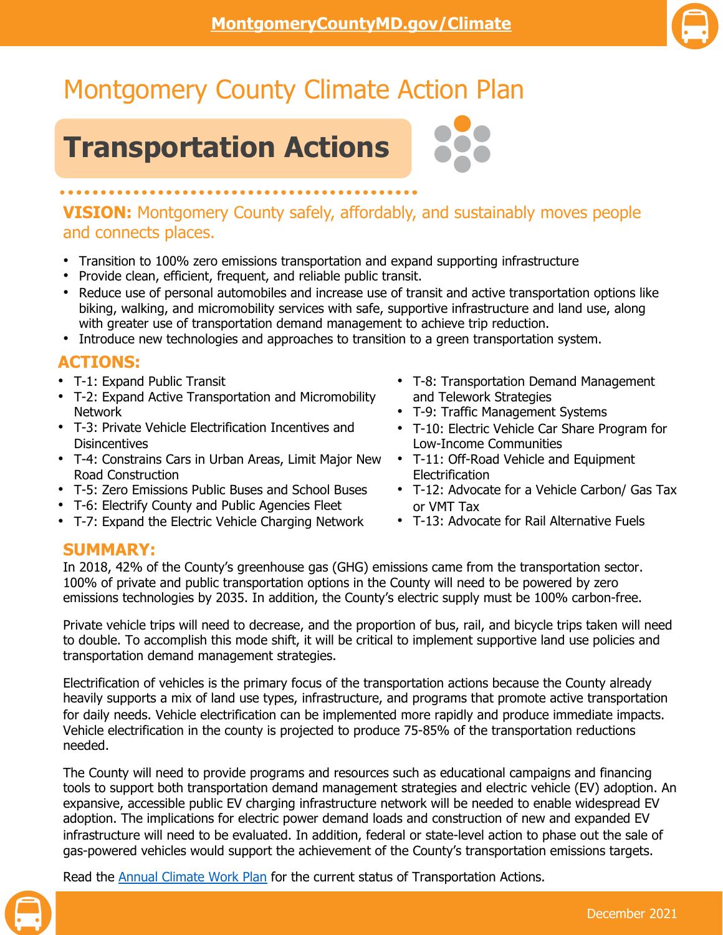

# Montgomery County Climate Action Plan

## **Transportation Actions**

## **VISION:** Montgomery County safely, affordably, and sustainably moves people and connects places.

- Transition to 100% zero emissions transportation and expand supporting infrastructure
- Provide clean, efficient, frequent, and reliable public transit.
- Reduce use of personal automobiles and increase use of transit and active transportation options like biking, walking, and micromobility services with safe, supportive infrastructure and land use, along with greater use of transportation demand management to achieve trip reduction.
- Introduce new technologies and approaches to transition to a green transportation system.

### **ACTIONS:**

- T-1: Expand Public Transit
- T-2: Expand Active Transportation and Micromobility Network
- T-3: Private Vehicle Electrification Incentives and **Disincentives**
- T-4: Constrains Cars in Urban Areas, Limit Major New Road Construction
- T-5: Zero Emissions Public Buses and School Buses
- T-6: Electrify County and Public Agencies Fleet
- T-7: Expand the Electric Vehicle Charging Network
- T-8: Transportation Demand Management and Telework Strategies
- T-9: Traffic Management Systems
- T-10: Electric Vehicle Car Share Program for Low-Income Communities
- T-11: Off-Road Vehicle and Equipment **Electrification**
- T-12: Advocate for a Vehicle Carbon/ Gas Tax or VMT Tax
- T-13: Advocate for Rail Alternative Fuels

#### **SUMMARY:**

In 2018, 42% of the County's greenhouse gas (GHG) emissions came from the transportation sector. 100% of private and public transportation options in the County will need to be powered by zero emissions technologies by 2035. In addition, the County's electric supply must be 100% carbon-free.

Private vehicle trips will need to decrease, and the proportion of bus, rail, and bicycle trips taken will need to double. To accomplish this mode shift, it will be critical to implement supportive land use policies and transportation demand management strategies.

Electrification of vehicles is the primary focus of the transportation actions because the County already heavily supports a mix of land use types, infrastructure, and programs that promote active transportation for daily needs. Vehicle electrification can be implemented more rapidly and produce immediate impacts. Vehicle electrification in the county is projected to produce 75-85% of the transportation reductions needed.

The County will need to provide programs and resources such as educational campaigns and financing tools to support both transportation demand management strategies and electric vehicle (EV) adoption. An expansive, accessible public EV charging infrastructure network will be needed to enable widespread EV adoption. The implications for electric power demand loads and construction of new and expanded EV infrastructure will need to be evaluated. In addition, federal or state-level action to phase out the sale of gas-powered vehicles would support the achievement of the County's transportation emissions targets.

Read the **Annual Climate Work Plan** for the current status of Transportation Actions.